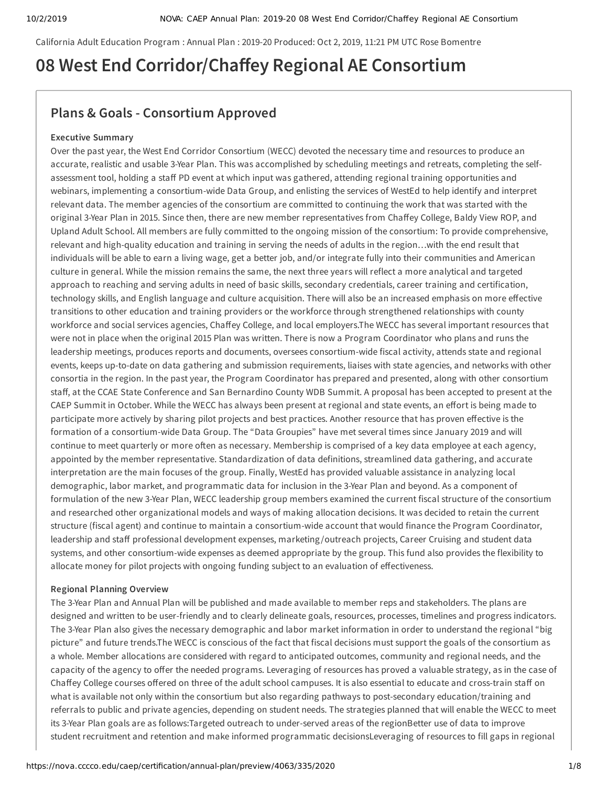California Adult Education Program : Annual Plan : 2019-20 Produced: Oct 2, 2019, 11:21 PM UTC Rose Bomentre

# **08 West End Corridor/Chaey Regional AE Consortium**

## **Plans & Goals - Consortium Approved**

#### **Executive Summary**

Over the past year, the West End Corridor Consortium (WECC) devoted the necessary time and resources to produce an accurate, realistic and usable 3-Year Plan. This was accomplished by scheduling meetings and retreats, completing the selfassessment tool, holding a staff PD event at which input was gathered, attending regional training opportunities and webinars, implementing a consortium-wide Data Group, and enlisting the services of WestEd to help identify and interpret relevant data. The member agencies of the consortium are committed to continuing the work that was started with the original 3-Year Plan in 2015. Since then, there are new member representatives from Chaffey College, Baldy View ROP, and Upland Adult School. All members are fully committed to the ongoing mission of the consortium: To provide comprehensive, relevant and high-quality education and training in serving the needs of adults in the region…with the end result that individuals will be able to earn a living wage, get a better job, and/or integrate fully into their communities and American culture in general. While the mission remains the same, the next three years will reflect a more analytical and targeted approach to reaching and serving adults in need of basic skills, secondary credentials, career training and certification, technology skills, and English language and culture acquisition. There will also be an increased emphasis on more effective transitions to other education and training providers or the workforce through strengthened relationships with county workforce and social services agencies, Chaffey College, and local employers.The WECC has several important resources that were not in place when the original 2015 Plan was written. There is now a Program Coordinator who plans and runs the leadership meetings, produces reports and documents, oversees consortium-wide fiscal activity, attends state and regional events, keeps up-to-date on data gathering and submission requirements, liaises with state agencies, and networks with other consortia in the region. In the past year, the Program Coordinator has prepared and presented, along with other consortium staff, at the CCAE State Conference and San Bernardino County WDB Summit. A proposal has been accepted to present at the CAEP Summit in October. While the WECC has always been present at regional and state events, an effort is being made to participate more actively by sharing pilot projects and best practices. Another resource that has proven effective is the formation of a consortium-wide Data Group. The "Data Groupies" have met several times since January 2019 and will continue to meet quarterly or more often as necessary. Membership is comprised of a key data employee at each agency, appointed by the member representative. Standardization of data definitions, streamlined data gathering, and accurate interpretation are the main focuses of the group. Finally, WestEd has provided valuable assistance in analyzing local demographic, labor market, and programmatic data for inclusion in the 3-Year Plan and beyond. As a component of formulation of the new 3-Year Plan, WECC leadership group members examined the current fiscal structure of the consortium and researched other organizational models and ways of making allocation decisions. It was decided to retain the current structure (fiscal agent) and continue to maintain a consortium-wide account that would finance the Program Coordinator, leadership and staff professional development expenses, marketing/outreach projects, Career Cruising and student data systems, and other consortium-wide expenses as deemed appropriate by the group. This fund also provides the flexibility to allocate money for pilot projects with ongoing funding subject to an evaluation of effectiveness.

#### **Regional Planning Overview**

The 3-Year Plan and Annual Plan will be published and made available to member reps and stakeholders. The plans are designed and written to be user-friendly and to clearly delineate goals, resources, processes, timelines and progress indicators. The 3-Year Plan also gives the necessary demographic and labor market information in order to understand the regional "big picture" and future trends.The WECC is conscious of the fact that fiscal decisions must support the goals of the consortium as a whole. Member allocations are considered with regard to anticipated outcomes, community and regional needs, and the capacity of the agency to offer the needed programs. Leveraging of resources has proved a valuable strategy, as in the case of Chaffey College courses offered on three of the adult school campuses. It is also essential to educate and cross-train staff on what is available not only within the consortium but also regarding pathways to post-secondary education/training and referrals to public and private agencies, depending on student needs. The strategies planned that will enable the WECC to meet its 3-Year Plan goals are as follows:Targeted outreach to under-served areas of the regionBetter use of data to improve student recruitment and retention and make informed programmatic decisionsLeveraging of resources to fill gaps in regional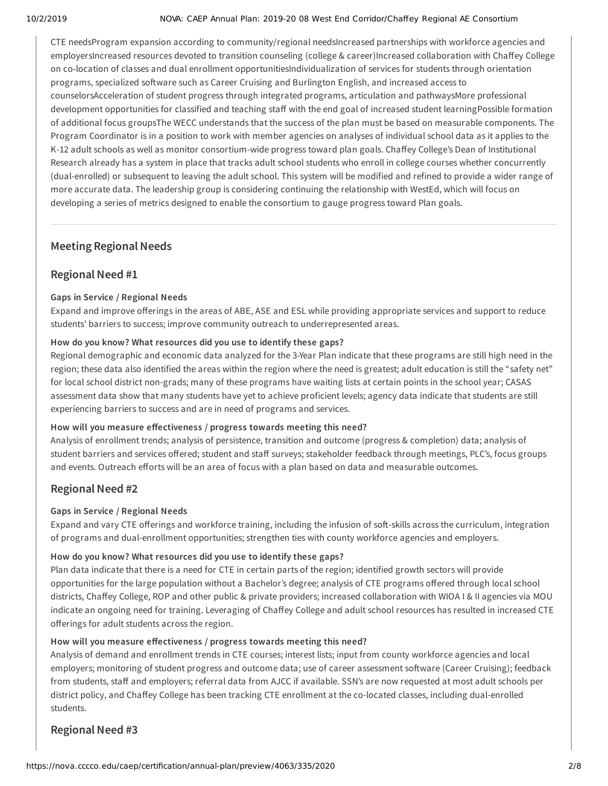CTE needsProgram expansion according to community/regional needsIncreased partnerships with workforce agencies and employersIncreased resources devoted to transition counseling (college & career)Increased collaboration with Chaffey College on co-location of classes and dual enrollment opportunitiesIndividualization of services for students through orientation programs, specialized software such as Career Cruising and Burlington English, and increased access to counselorsAcceleration of student progress through integrated programs, articulation and pathwaysMore professional development opportunities for classified and teaching staff with the end goal of increased student learningPossible formation of additional focus groupsThe WECC understands that the success of the plan must be based on measurable components. The Program Coordinator is in a position to work with member agencies on analyses of individual school data as it applies to the K-12 adult schools as well as monitor consortium-wide progress toward plan goals. Chaffey College's Dean of Institutional Research already has a system in place that tracks adult school students who enroll in college courses whether concurrently (dual-enrolled) or subsequent to leaving the adult school. This system will be modified and refined to provide a wider range of more accurate data. The leadership group is considering continuing the relationship with WestEd, which will focus on developing a series of metrics designed to enable the consortium to gauge progress toward Plan goals.

## **Meeting Regional Needs**

## **Regional Need #1**

#### **Gaps in Service / Regional Needs**

Expand and improve offerings in the areas of ABE, ASE and ESL while providing appropriate services and support to reduce students' barriers to success; improve community outreach to underrepresented areas.

#### **How do you know? What resources did you use to identify these gaps?**

Regional demographic and economic data analyzed for the 3-Year Plan indicate that these programs are still high need in the region; these data also identified the areas within the region where the need is greatest; adult education is still the "safety net" for local school district non-grads; many of these programs have waiting lists at certain points in the school year; CASAS assessment data show that many students have yet to achieve proficient levels; agency data indicate that students are still experiencing barriers to success and are in need of programs and services.

#### How will you measure effectiveness / progress towards meeting this need?

Analysis of enrollment trends; analysis of persistence, transition and outcome (progress & completion) data; analysis of student barriers and services offered; student and staff surveys; stakeholder feedback through meetings, PLC's, focus groups and events. Outreach efforts will be an area of focus with a plan based on data and measurable outcomes.

## **Regional Need #2**

#### **Gaps in Service / Regional Needs**

Expand and vary CTE offerings and workforce training, including the infusion of soft-skills across the curriculum, integration of programs and dual-enrollment opportunities; strengthen ties with county workforce agencies and employers.

### **How do you know? What resources did you use to identify these gaps?**

Plan data indicate that there is a need for CTE in certain parts of the region; identified growth sectors will provide opportunities for the large population without a Bachelor's degree; analysis of CTE programs offered through local school districts, Chaffey College, ROP and other public & private providers; increased collaboration with WIOA I & II agencies via MOU indicate an ongoing need for training. Leveraging of Chaffey College and adult school resources has resulted in increased CTE offerings for adult students across the region.

#### How will you measure effectiveness / progress towards meeting this need?

Analysis of demand and enrollment trends in CTE courses; interest lists; input from county workforce agencies and local employers; monitoring of student progress and outcome data; use of career assessment software (Career Cruising); feedback from students, staff and employers; referral data from AJCC if available. SSN's are now requested at most adult schools per district policy, and Chaffey College has been tracking CTE enrollment at the co-located classes, including dual-enrolled students.

## **Regional Need #3**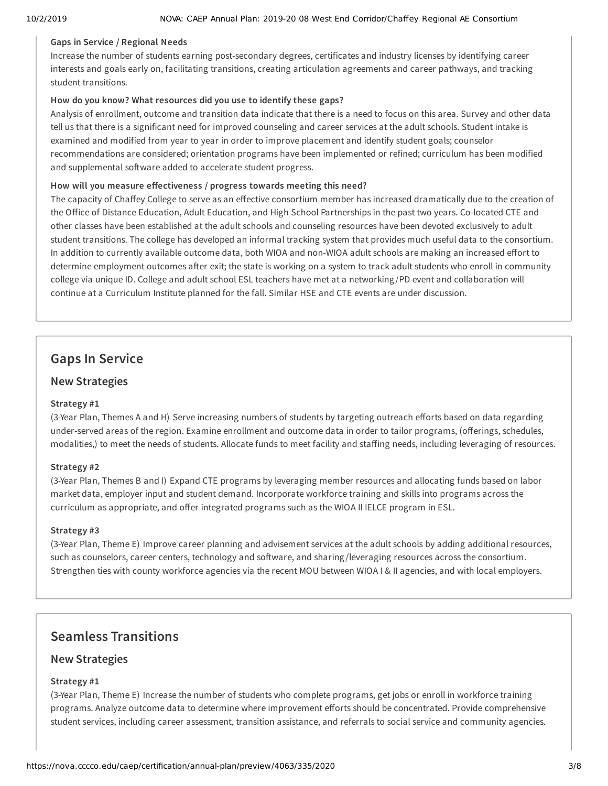#### **Gaps in Service / Regional Needs**

Increase the number of students earning post-secondary degrees, certificates and industry licenses by identifying career interests and goals early on, facilitating transitions, creating articulation agreements and career pathways, and tracking student transitions.

#### **How do you know? What resources did you use to identify these gaps?**

Analysis of enrollment, outcome and transition data indicate that there is a need to focus on this area. Survey and other data tell us that there is a significant need for improved counseling and career services at the adult schools. Student intake is examined and modified from year to year in order to improve placement and identify student goals; counselor recommendations are considered; orientation programs have been implemented or refined; curriculum has been modified and supplemental software added to accelerate student progress.

#### How will you measure effectiveness / progress towards meeting this need?

The capacity of Chaffey College to serve as an effective consortium member has increased dramatically due to the creation of the Office of Distance Education, Adult Education, and High School Partnerships in the past two years. Co-located CTE and other classes have been established at the adult schools and counseling resources have been devoted exclusively to adult student transitions. The college has developed an informal tracking system that provides much useful data to the consortium. In addition to currently available outcome data, both WIOA and non-WIOA adult schools are making an increased effort to determine employment outcomes after exit; the state is working on a system to track adult students who enroll in community college via unique ID. College and adult school ESL teachers have met at a networking /PD event and collaboration will continue at a Curriculum Institute planned for the fall. Similar HSE and CTE events are under discussion.

## **Gaps In Service**

### **New Strategies**

#### **Strategy #1**

(3-Year Plan, Themes A and H) Serve increasing numbers of students by targeting outreach efforts based on data regarding under-served areas of the region. Examine enrollment and outcome data in order to tailor programs, (offerings, schedules, modalities,) to meet the needs of students. Allocate funds to meet facility and staffing needs, including leveraging of resources.

#### **Strategy #2**

(3-Year Plan, Themes B and I) Expand CTE programs by leveraging member resources and allocating funds based on labor market data, employer input and student demand. Incorporate workforce training and skills into programs across the curriculum as appropriate, and offer integrated programs such as the WIOA II IELCE program in ESL.

#### **Strategy #3**

(3-Year Plan, Theme E) Improve career planning and advisement services at the adult schools by adding additional resources, such as counselors, career centers, technology and software, and sharing/leveraging resources across the consortium. Strengthen ties with county workforce agencies via the recent MOU between WIOA I & II agencies, and with local employers.

## **Seamless Transitions**

### **New Strategies**

#### **Strategy #1**

(3-Year Plan, Theme E) Increase the number of students who complete programs, get jobs or enroll in workforce training programs. Analyze outcome data to determine where improvement efforts should be concentrated. Provide comprehensive student services, including career assessment, transition assistance, and referrals to social service and community agencies.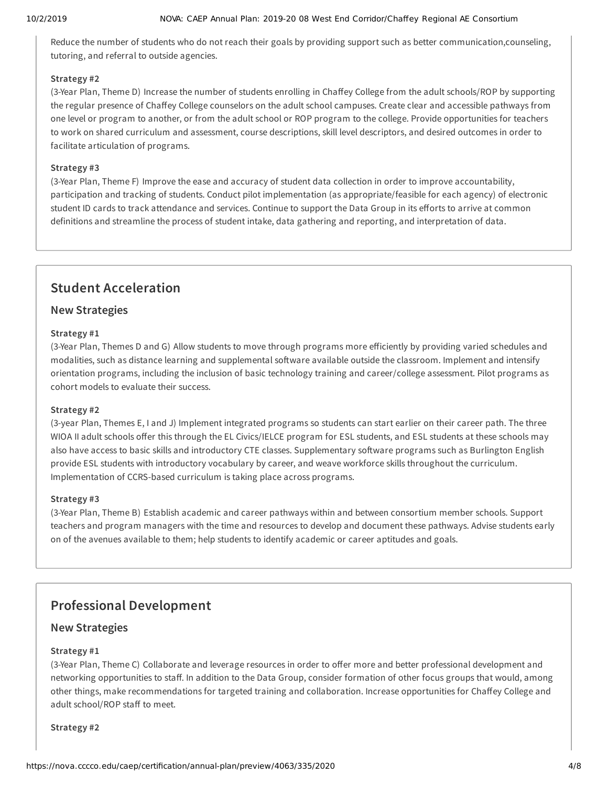Reduce the number of students who do not reach their goals by providing support such as better communication,counseling, tutoring, and referral to outside agencies.

#### **Strategy #2**

(3-Year Plan, Theme D) Increase the number of students enrolling in Chaffey College from the adult schools/ROP by supporting the regular presence of Chaffey College counselors on the adult school campuses. Create clear and accessible pathways from one level or program to another, or from the adult school or ROP program to the college. Provide opportunities for teachers to work on shared curriculum and assessment, course descriptions, skill level descriptors, and desired outcomes in order to facilitate articulation of programs.

#### **Strategy #3**

(3-Year Plan, Theme F) Improve the ease and accuracy of student data collection in order to improve accountability, participation and tracking of students. Conduct pilot implementation (as appropriate/feasible for each agency) of electronic student ID cards to track attendance and services. Continue to support the Data Group in its efforts to arrive at common definitions and streamline the process of student intake, data gathering and reporting, and interpretation of data.

## **Student Acceleration**

## **New Strategies**

#### **Strategy #1**

(3-Year Plan, Themes D and G) Allow students to move through programs more eiciently by providing varied schedules and modalities, such as distance learning and supplemental software available outside the classroom. Implement and intensify orientation programs, including the inclusion of basic technology training and career/college assessment. Pilot programs as cohort models to evaluate their success.

#### **Strategy #2**

(3-year Plan, Themes E, I and J) Implement integrated programs so students can start earlier on their career path. The three WIOA II adult schools offer this through the EL Civics/IELCE program for ESL students, and ESL students at these schools may also have access to basic skills and introductory CTE classes. Supplementary software programs such as Burlington English provide ESL students with introductory vocabulary by career, and weave workforce skills throughout the curriculum. Implementation of CCRS-based curriculum is taking place across programs.

#### **Strategy #3**

(3-Year Plan, Theme B) Establish academic and career pathways within and between consortium member schools. Support teachers and program managers with the time and resources to develop and document these pathways. Advise students early on of the avenues available to them; help students to identify academic or career aptitudes and goals.

## **Professional Development**

## **New Strategies**

#### **Strategy #1**

(3-Year Plan, Theme C) Collaborate and leverage resources in order to offer more and better professional development and networking opportunities to staff. In addition to the Data Group, consider formation of other focus groups that would, among other things, make recommendations for targeted training and collaboration. Increase opportunities for Chaffey College and adult school/ROP staff to meet.

#### **Strategy #2**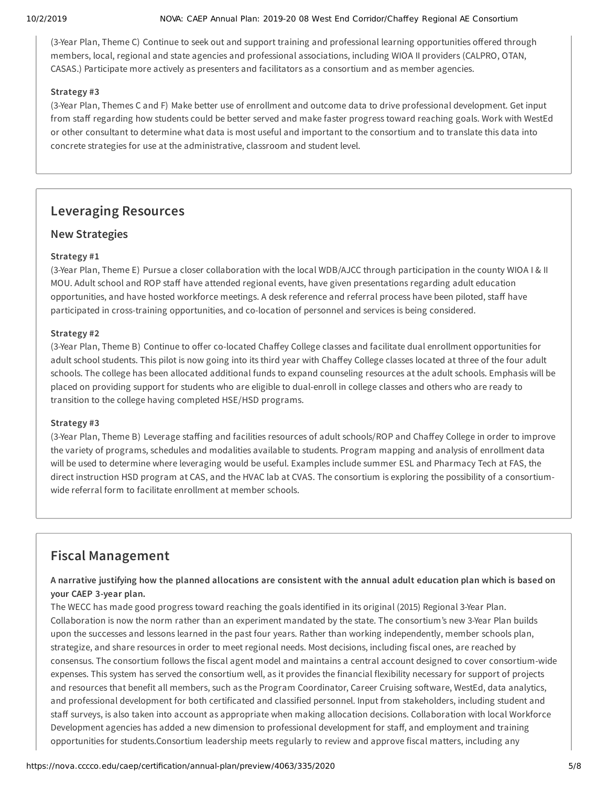(3-Year Plan, Theme C) Continue to seek out and support training and professional learning opportunities offered through members, local, regional and state agencies and professional associations, including WIOA II providers (CALPRO, OTAN, CASAS.) Participate more actively as presenters and facilitators as a consortium and as member agencies.

#### **Strategy #3**

(3-Year Plan, Themes C and F) Make better use of enrollment and outcome data to drive professional development. Get input from staff regarding how students could be better served and make faster progress toward reaching goals. Work with WestEd or other consultant to determine what data is most useful and important to the consortium and to translate this data into concrete strategies for use at the administrative, classroom and student level.

## **Leveraging Resources**

## **New Strategies**

### **Strategy #1**

(3-Year Plan, Theme E) Pursue a closer collaboration with the local WDB/AJCC through participation in the county WIOA I & II MOU. Adult school and ROP staff have attended regional events, have given presentations regarding adult education opportunities, and have hosted workforce meetings. A desk reference and referral process have been piloted, staff have participated in cross-training opportunities, and co-location of personnel and services is being considered.

#### **Strategy #2**

(3-Year Plan, Theme B) Continue to offer co-located Chaffey College classes and facilitate dual enrollment opportunities for adult school students. This pilot is now going into its third year with Chaffey College classes located at three of the four adult schools. The college has been allocated additional funds to expand counseling resources at the adult schools. Emphasis will be placed on providing support for students who are eligible to dual-enroll in college classes and others who are ready to transition to the college having completed HSE/HSD programs.

#### **Strategy #3**

(3-Year Plan, Theme B) Leverage staffing and facilities resources of adult schools/ROP and Chaffey College in order to improve the variety of programs, schedules and modalities available to students. Program mapping and analysis of enrollment data will be used to determine where leveraging would be useful. Examples include summer ESL and Pharmacy Tech at FAS, the direct instruction HSD program at CAS, and the HVAC lab at CVAS. The consortium is exploring the possibility of a consortiumwide referral form to facilitate enrollment at member schools.

## **Fiscal Management**

## A narrative justifying how the planned allocations are consistent with the annual adult education plan which is based on **your CAEP 3-year plan.**

The WECC has made good progress toward reaching the goals identified in its original (2015) Regional 3-Year Plan. Collaboration is now the norm rather than an experiment mandated by the state. The consortium's new 3-Year Plan builds upon the successes and lessons learned in the past four years. Rather than working independently, member schools plan, strategize, and share resources in order to meet regional needs. Most decisions, including fiscal ones, are reached by consensus. The consortium follows the fiscal agent model and maintains a central account designed to cover consortium-wide expenses. This system has served the consortium well, as it provides the financial flexibility necessary for support of projects and resources that benefit all members, such as the Program Coordinator, Career Cruising software, WestEd, data analytics, and professional development for both certificated and classified personnel. Input from stakeholders, including student and staff surveys, is also taken into account as appropriate when making allocation decisions. Collaboration with local Workforce Development agencies has added a new dimension to professional development for staff, and employment and training opportunities for students.Consortium leadership meets regularly to review and approve fiscal matters, including any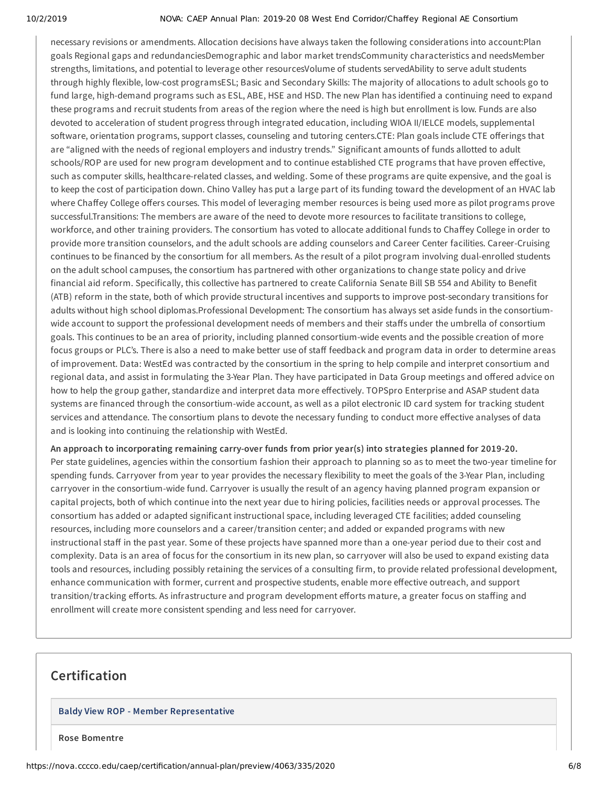necessary revisions or amendments. Allocation decisions have always taken the following considerations into account:Plan goals Regional gaps and redundanciesDemographic and labor market trendsCommunity characteristics and needsMember strengths, limitations, and potential to leverage other resourcesVolume of students servedAbility to serve adult students through highly flexible, low-cost programsESL; Basic and Secondary Skills: The majority of allocations to adult schools go to fund large, high-demand programs such as ESL, ABE, HSE and HSD. The new Plan has identified a continuing need to expand these programs and recruit students from areas of the region where the need is high but enrollment is low. Funds are also devoted to acceleration of student progress through integrated education, including WIOA II/IELCE models, supplemental software, orientation programs, support classes, counseling and tutoring centers.CTE: Plan goals include CTE offerings that are "aligned with the needs of regional employers and industry trends." Significant amounts of funds allotted to adult schools/ROP are used for new program development and to continue established CTE programs that have proven effective, such as computer skills, healthcare-related classes, and welding. Some of these programs are quite expensive, and the goal is to keep the cost of participation down. Chino Valley has put a large part of its funding toward the development of an HVAC lab where Chaffey College offers courses. This model of leveraging member resources is being used more as pilot programs prove successful.Transitions: The members are aware of the need to devote more resources to facilitate transitions to college, workforce, and other training providers. The consortium has voted to allocate additional funds to Chaffey College in order to provide more transition counselors, and the adult schools are adding counselors and Career Center facilities. Career-Cruising continues to be financed by the consortium for all members. As the result of a pilot program involving dual-enrolled students on the adult school campuses, the consortium has partnered with other organizations to change state policy and drive financial aid reform. Specifically, this collective has partnered to create California Senate Bill SB 554 and Ability to Benefit (ATB) reform in the state, both of which provide structural incentives and supports to improve post-secondary transitions for adults without high school diplomas.Professional Development: The consortium has always set aside funds in the consortiumwide account to support the professional development needs of members and their staffs under the umbrella of consortium goals. This continues to be an area of priority, including planned consortium-wide events and the possible creation of more focus groups or PLC's. There is also a need to make better use of staff feedback and program data in order to determine areas of improvement. Data: WestEd was contracted by the consortium in the spring to help compile and interpret consortium and regional data, and assist in formulating the 3-Year Plan. They have participated in Data Group meetings and offered advice on how to help the group gather, standardize and interpret data more effectively. TOPSpro Enterprise and ASAP student data systems are financed through the consortium-wide account, as well as a pilot electronic ID card system for tracking student services and attendance. The consortium plans to devote the necessary funding to conduct more effective analyses of data and is looking into continuing the relationship with WestEd.

**An approach to incorporating remaining carry-over funds from prior year(s) into strategies planned for 2019-20.** Per state guidelines, agencies within the consortium fashion their approach to planning so as to meet the two-year timeline for spending funds. Carryover from year to year provides the necessary flexibility to meet the goals of the 3-Year Plan, including carryover in the consortium-wide fund. Carryover is usually the result of an agency having planned program expansion or capital projects, both of which continue into the next year due to hiring policies, facilities needs or approval processes. The consortium has added or adapted significant instructional space, including leveraged CTE facilities; added counseling resources, including more counselors and a career/transition center; and added or expanded programs with new instructional staff in the past year. Some of these projects have spanned more than a one-year period due to their cost and complexity. Data is an area of focus for the consortium in its new plan, so carryover will also be used to expand existing data tools and resources, including possibly retaining the services of a consulting firm, to provide related professional development, enhance communication with former, current and prospective students, enable more effective outreach, and support transition/tracking efforts. As infrastructure and program development efforts mature, a greater focus on staffing and enrollment will create more consistent spending and less need for carryover.

## **Certification**

#### **Baldy View ROP - Member Representative**

**Rose Bomentre**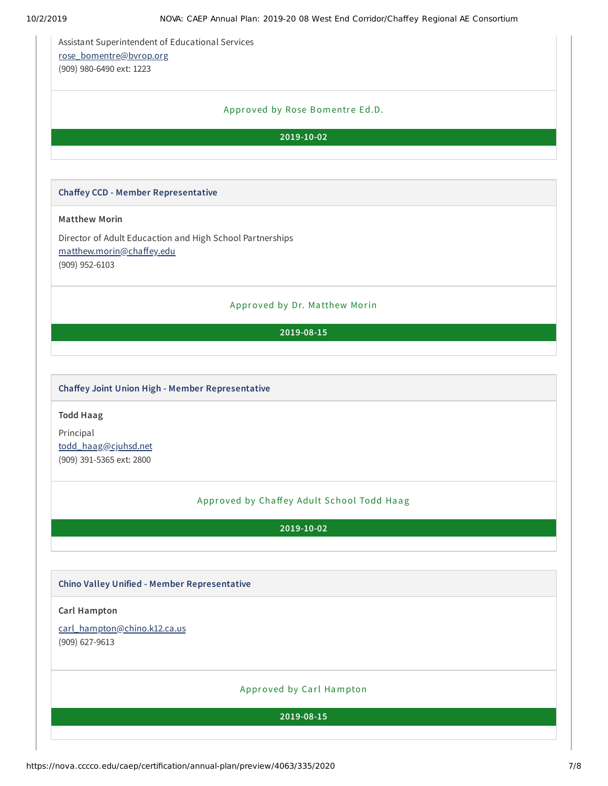Assistant Superintendent of Educational Services [rose\\_bomentre@bvrop.org](mailto:rose_bomentre@bvrop.org) (909) 980-6490 ext: 1223

### Approved by Rose Bomentre Ed.D.

**2019-10-02**

#### **Chaey CCD - Member Representative**

### **Matthew Morin**

Director of Adult Educaction and High School Partnerships matthew.morin@chaffey.edu (909) 952-6103

#### Approved by Dr. Ma tthew Morin

#### **2019-08-15**

#### **Chaey Joint Union High - Member Representative**

#### **Todd Haag**

Principal [todd\\_haag@cjuhsd.net](mailto:todd_haag@cjuhsd.net) (909) 391-5365 ext: 2800

## Approved by Chaffey Adult School Todd Haag

**2019-10-02**

#### **Chino Valley Unified - Member Representative**

#### **Carl Hampton**

[carl\\_hampton@chino.k12.ca.us](mailto:carl_hampton@chino.k12.ca.us)

(909) 627-9613

### Approved by Carl Hampton

**2019-08-15**